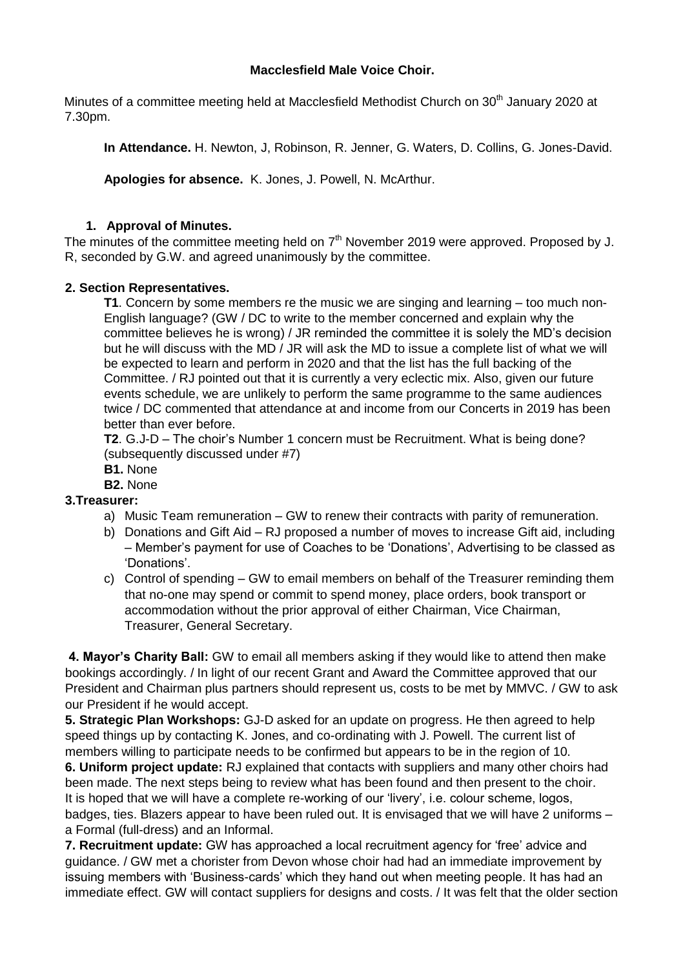### **Macclesfield Male Voice Choir.**

Minutes of a committee meeting held at Macclesfield Methodist Church on 30<sup>th</sup> January 2020 at 7.30pm.

**In Attendance.** H. Newton, J, Robinson, R. Jenner, G. Waters, D. Collins, G. Jones-David.

**Apologies for absence.** K. Jones, J. Powell, N. McArthur.

## **1. Approval of Minutes.**

The minutes of the committee meeting held on  $7<sup>th</sup>$  November 2019 were approved. Proposed by J. R, seconded by G.W. and agreed unanimously by the committee.

### **2. Section Representatives.**

**T1**. Concern by some members re the music we are singing and learning – too much non-English language? (GW / DC to write to the member concerned and explain why the committee believes he is wrong) / JR reminded the committee it is solely the MD's decision but he will discuss with the MD / JR will ask the MD to issue a complete list of what we will be expected to learn and perform in 2020 and that the list has the full backing of the Committee. / RJ pointed out that it is currently a very eclectic mix. Also, given our future events schedule, we are unlikely to perform the same programme to the same audiences twice / DC commented that attendance at and income from our Concerts in 2019 has been better than ever before.

**T2**. G.J-D – The choir's Number 1 concern must be Recruitment. What is being done? (subsequently discussed under #7)

- **B1.** None
- **B2.** None

#### **3.Treasurer:**

- a) Music Team remuneration GW to renew their contracts with parity of remuneration.
- b) Donations and Gift Aid RJ proposed a number of moves to increase Gift aid, including – Member's payment for use of Coaches to be 'Donations', Advertising to be classed as 'Donations'.
- c) Control of spending GW to email members on behalf of the Treasurer reminding them that no-one may spend or commit to spend money, place orders, book transport or accommodation without the prior approval of either Chairman, Vice Chairman, Treasurer, General Secretary.

**4. Mayor's Charity Ball:** GW to email all members asking if they would like to attend then make bookings accordingly. / In light of our recent Grant and Award the Committee approved that our President and Chairman plus partners should represent us, costs to be met by MMVC. / GW to ask our President if he would accept.

**5. Strategic Plan Workshops:** GJ-D asked for an update on progress. He then agreed to help speed things up by contacting K. Jones, and co-ordinating with J. Powell. The current list of members willing to participate needs to be confirmed but appears to be in the region of 10.

**6. Uniform project update:** RJ explained that contacts with suppliers and many other choirs had been made. The next steps being to review what has been found and then present to the choir. It is hoped that we will have a complete re-working of our 'livery', i.e. colour scheme, logos, badges, ties. Blazers appear to have been ruled out. It is envisaged that we will have 2 uniforms – a Formal (full-dress) and an Informal.

**7. Recruitment update:** GW has approached a local recruitment agency for 'free' advice and guidance. / GW met a chorister from Devon whose choir had had an immediate improvement by issuing members with 'Business-cards' which they hand out when meeting people. It has had an immediate effect. GW will contact suppliers for designs and costs. / It was felt that the older section